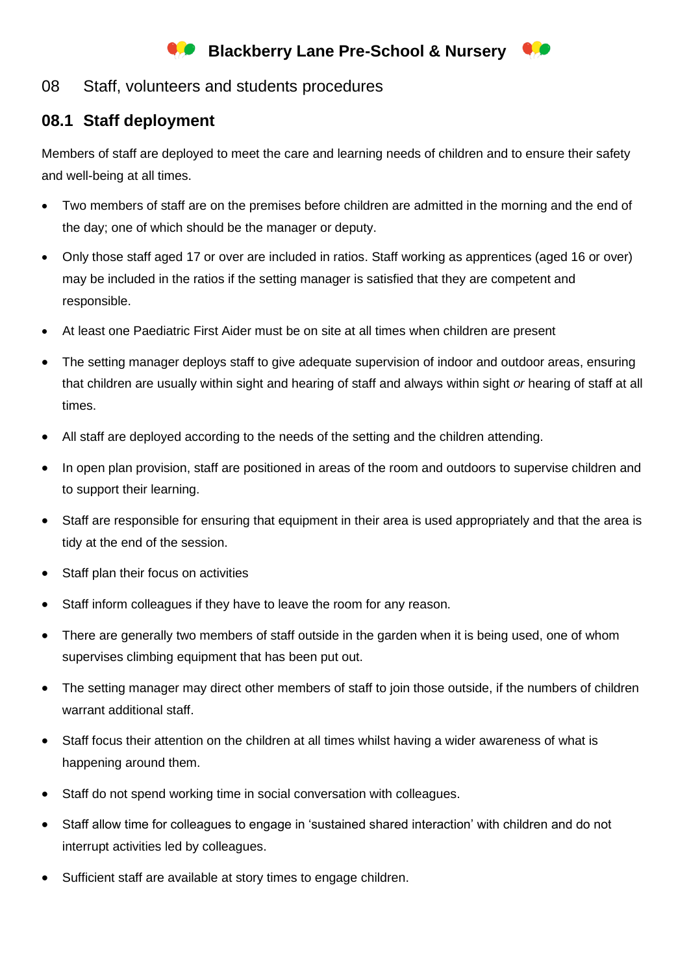## **Blackberry Lane Pre-School & Nursery**

## 08 Staff, volunteers and students procedures

## **08.1 Staff deployment**

Members of staff are deployed to meet the care and learning needs of children and to ensure their safety and well-being at all times.

- Two members of staff are on the premises before children are admitted in the morning and the end of the day; one of which should be the manager or deputy.
- Only those staff aged 17 or over are included in ratios. Staff working as apprentices (aged 16 or over) may be included in the ratios if the setting manager is satisfied that they are competent and responsible.
- At least one Paediatric First Aider must be on site at all times when children are present
- The setting manager deploys staff to give adequate supervision of indoor and outdoor areas, ensuring that children are usually within sight and hearing of staff and always within sight *or* hearing of staff at all times.
- All staff are deployed according to the needs of the setting and the children attending.
- In open plan provision, staff are positioned in areas of the room and outdoors to supervise children and to support their learning.
- Staff are responsible for ensuring that equipment in their area is used appropriately and that the area is tidy at the end of the session.
- Staff plan their focus on activities
- Staff inform colleagues if they have to leave the room for any reason.
- There are generally two members of staff outside in the garden when it is being used, one of whom supervises climbing equipment that has been put out.
- The setting manager may direct other members of staff to join those outside, if the numbers of children warrant additional staff.
- Staff focus their attention on the children at all times whilst having a wider awareness of what is happening around them.
- Staff do not spend working time in social conversation with colleagues.
- Staff allow time for colleagues to engage in 'sustained shared interaction' with children and do not interrupt activities led by colleagues.
- Sufficient staff are available at story times to engage children.